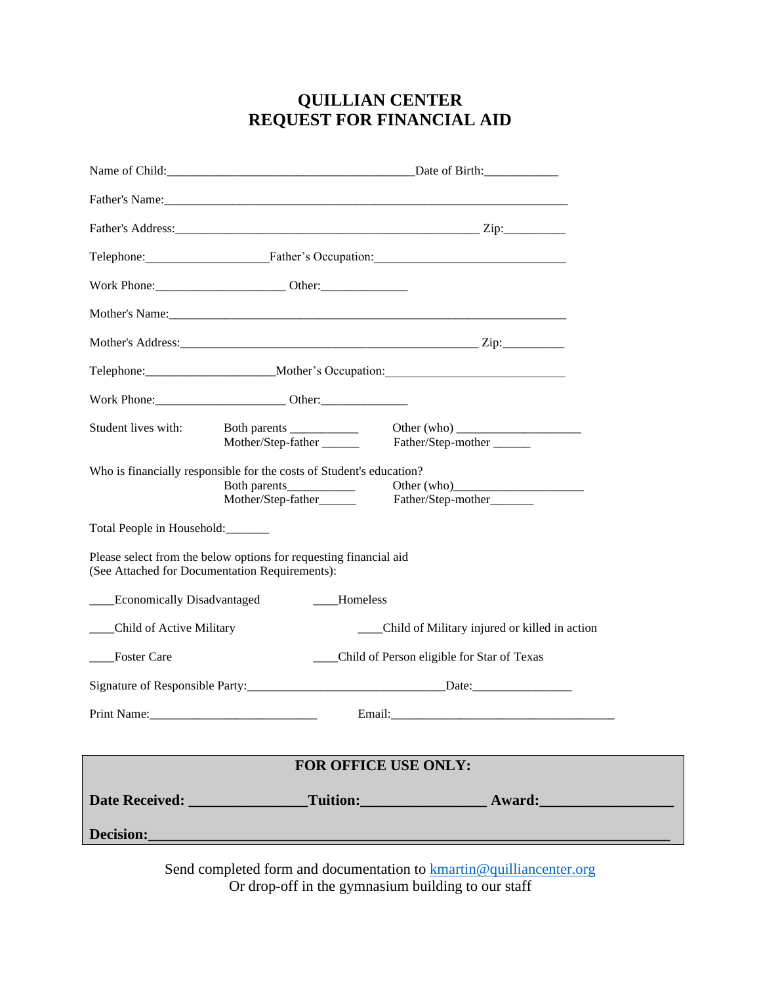## **QUILLIAN CENTER REQUEST FOR FINANCIAL AID**

|                                                                                                                                           |                                                                                                  | Date of Birth:                                                                    |  |
|-------------------------------------------------------------------------------------------------------------------------------------------|--------------------------------------------------------------------------------------------------|-----------------------------------------------------------------------------------|--|
|                                                                                                                                           |                                                                                                  |                                                                                   |  |
|                                                                                                                                           |                                                                                                  |                                                                                   |  |
|                                                                                                                                           |                                                                                                  | Telephone: Father's Occupation: Father's Occupation:                              |  |
|                                                                                                                                           |                                                                                                  |                                                                                   |  |
|                                                                                                                                           |                                                                                                  |                                                                                   |  |
|                                                                                                                                           |                                                                                                  |                                                                                   |  |
|                                                                                                                                           |                                                                                                  | Telephone: ____________________________Mother's Occupation: _____________________ |  |
|                                                                                                                                           |                                                                                                  |                                                                                   |  |
| Student lives with:                                                                                                                       | Both parents<br>Mother/Step-father                                                               | Other (who)<br>Father/Step-mother                                                 |  |
|                                                                                                                                           | Who is financially responsible for the costs of Student's education?<br>Mother/Step-father______ | Father/Step-mother______                                                          |  |
| Total People in Household:                                                                                                                |                                                                                                  |                                                                                   |  |
| Please select from the below options for requesting financial aid<br>(See Attached for Documentation Requirements):                       |                                                                                                  |                                                                                   |  |
| ___Economically Disadvantaged<br>___Homeless                                                                                              |                                                                                                  |                                                                                   |  |
| ___Child of Active Military                                                                                                               |                                                                                                  | ___Child of Military injured or killed in action                                  |  |
| Foster Care                                                                                                                               |                                                                                                  | ___Child of Person eligible for Star of Texas                                     |  |
|                                                                                                                                           |                                                                                                  |                                                                                   |  |
| Print Name:                                                                                                                               |                                                                                                  |                                                                                   |  |
|                                                                                                                                           |                                                                                                  |                                                                                   |  |
| FOR OFFICE USE ONLY:                                                                                                                      |                                                                                                  |                                                                                   |  |
|                                                                                                                                           |                                                                                                  | Date Received: Tuition: Tuition: Award:                                           |  |
| <b>Decision:</b><br><u> 1989 - Johann Barn, mars ann an t-Amhain an t-Amhain an t-Amhain an t-Amhain an t-Amhain an t-Amhain an t-Amh</u> |                                                                                                  |                                                                                   |  |
|                                                                                                                                           |                                                                                                  |                                                                                   |  |

Send completed form and documentation to **kmartin@quilliancenter.org** Or drop-off in the gymnasium building to our staff